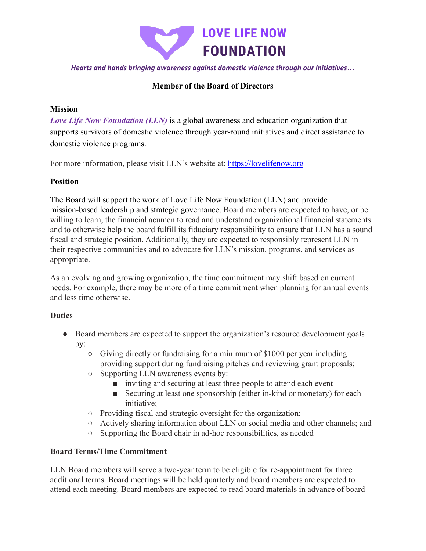

*Hearts and hands bringing awareness against domestic violence through our Initiatives…*

# **Member of the Board of Directors**

## **Mission**

*Love Life Now Foundation (LLN)* is a global awareness and education organization that supports survivors of domestic violence through year-round initiatives and direct assistance to domestic violence programs.

For more information, please visit LLN's website at: <https://lovelifenow.org>

### **Position**

The Board will support the work of Love Life Now Foundation (LLN) and provide mission-based leadership and strategic governance. Board members are expected to have, or be willing to learn, the financial acumen to read and understand organizational financial statements and to otherwise help the board fulfill its fiduciary responsibility to ensure that LLN has a sound fiscal and strategic position. Additionally, they are expected to responsibly represent LLN in their respective communities and to advocate for LLN's mission, programs, and services as appropriate.

As an evolving and growing organization, the time commitment may shift based on current needs. For example, there may be more of a time commitment when planning for annual events and less time otherwise.

#### **Duties**

- Board members are expected to support the organization's resource development goals by:
	- Giving directly or fundraising for a minimum of \$1000 per year including providing support during fundraising pitches and reviewing grant proposals;
	- Supporting LLN awareness events by:
		- inviting and securing at least three people to attend each event
		- Securing at least one sponsorship (either in-kind or monetary) for each initiative;
	- Providing fiscal and strategic oversight for the organization;
	- Actively sharing information about LLN on social media and other channels; and
	- Supporting the Board chair in ad-hoc responsibilities, as needed

## **Board Terms/Time Commitment**

LLN Board members will serve a two-year term to be eligible for re-appointment for three additional terms. Board meetings will be held quarterly and board members are expected to attend each meeting. Board members are expected to read board materials in advance of board